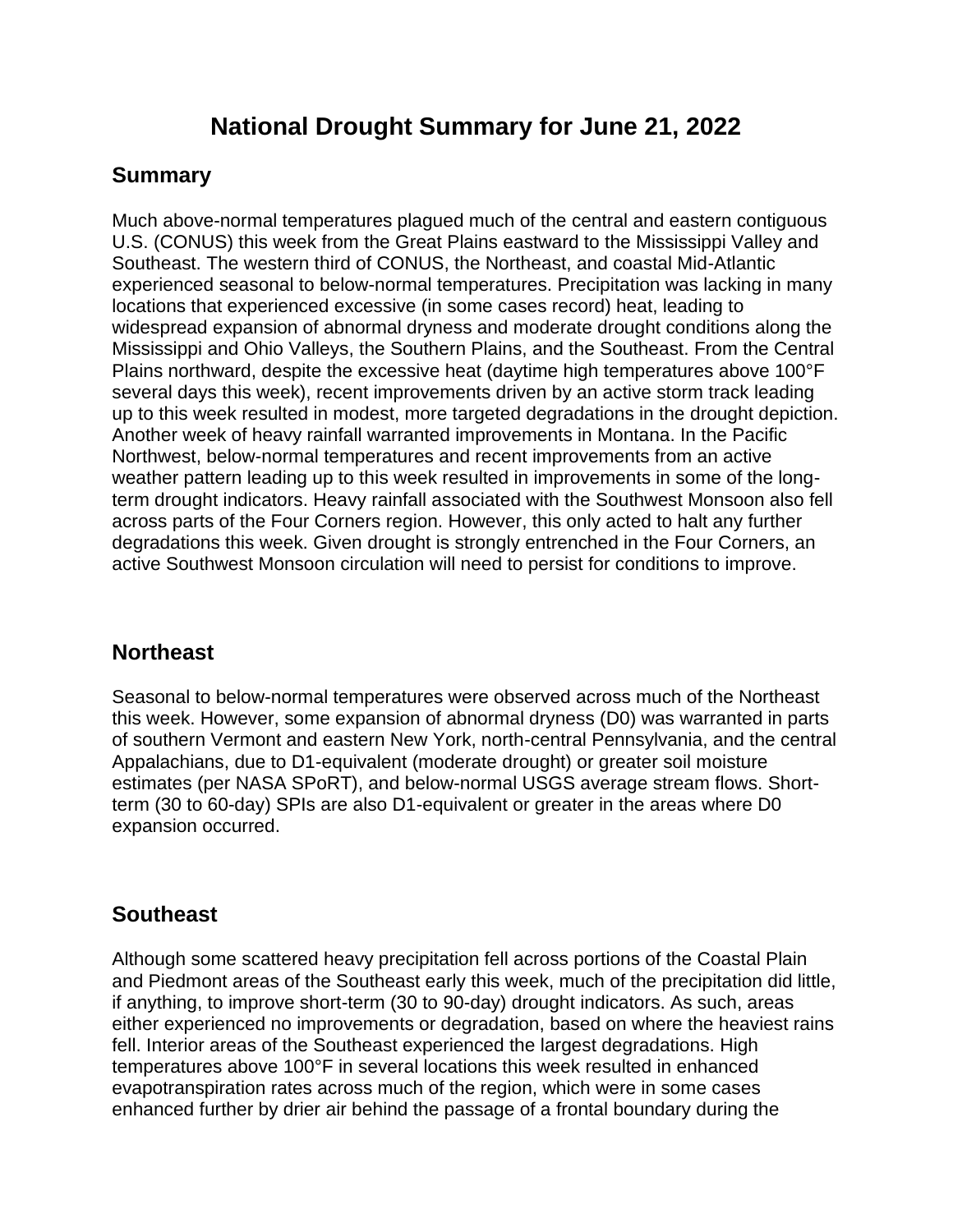# **National Drought Summary for June 21, 2022**

# **Summary**

Much above-normal temperatures plagued much of the central and eastern contiguous U.S. (CONUS) this week from the Great Plains eastward to the Mississippi Valley and Southeast. The western third of CONUS, the Northeast, and coastal Mid-Atlantic experienced seasonal to below-normal temperatures. Precipitation was lacking in many locations that experienced excessive (in some cases record) heat, leading to widespread expansion of abnormal dryness and moderate drought conditions along the Mississippi and Ohio Valleys, the Southern Plains, and the Southeast. From the Central Plains northward, despite the excessive heat (daytime high temperatures above 100°F several days this week), recent improvements driven by an active storm track leading up to this week resulted in modest, more targeted degradations in the drought depiction. Another week of heavy rainfall warranted improvements in Montana. In the Pacific Northwest, below-normal temperatures and recent improvements from an active weather pattern leading up to this week resulted in improvements in some of the longterm drought indicators. Heavy rainfall associated with the Southwest Monsoon also fell across parts of the Four Corners region. However, this only acted to halt any further degradations this week. Given drought is strongly entrenched in the Four Corners, an active Southwest Monsoon circulation will need to persist for conditions to improve.

# **Northeast**

Seasonal to below-normal temperatures were observed across much of the Northeast this week. However, some expansion of abnormal dryness (D0) was warranted in parts of southern Vermont and eastern New York, north-central Pennsylvania, and the central Appalachians, due to D1-equivalent (moderate drought) or greater soil moisture estimates (per NASA SPoRT), and below-normal USGS average stream flows. Shortterm (30 to 60-day) SPIs are also D1-equivalent or greater in the areas where D0 expansion occurred.

# **Southeast**

Although some scattered heavy precipitation fell across portions of the Coastal Plain and Piedmont areas of the Southeast early this week, much of the precipitation did little, if anything, to improve short-term (30 to 90-day) drought indicators. As such, areas either experienced no improvements or degradation, based on where the heaviest rains fell. Interior areas of the Southeast experienced the largest degradations. High temperatures above 100°F in several locations this week resulted in enhanced evapotranspiration rates across much of the region, which were in some cases enhanced further by drier air behind the passage of a frontal boundary during the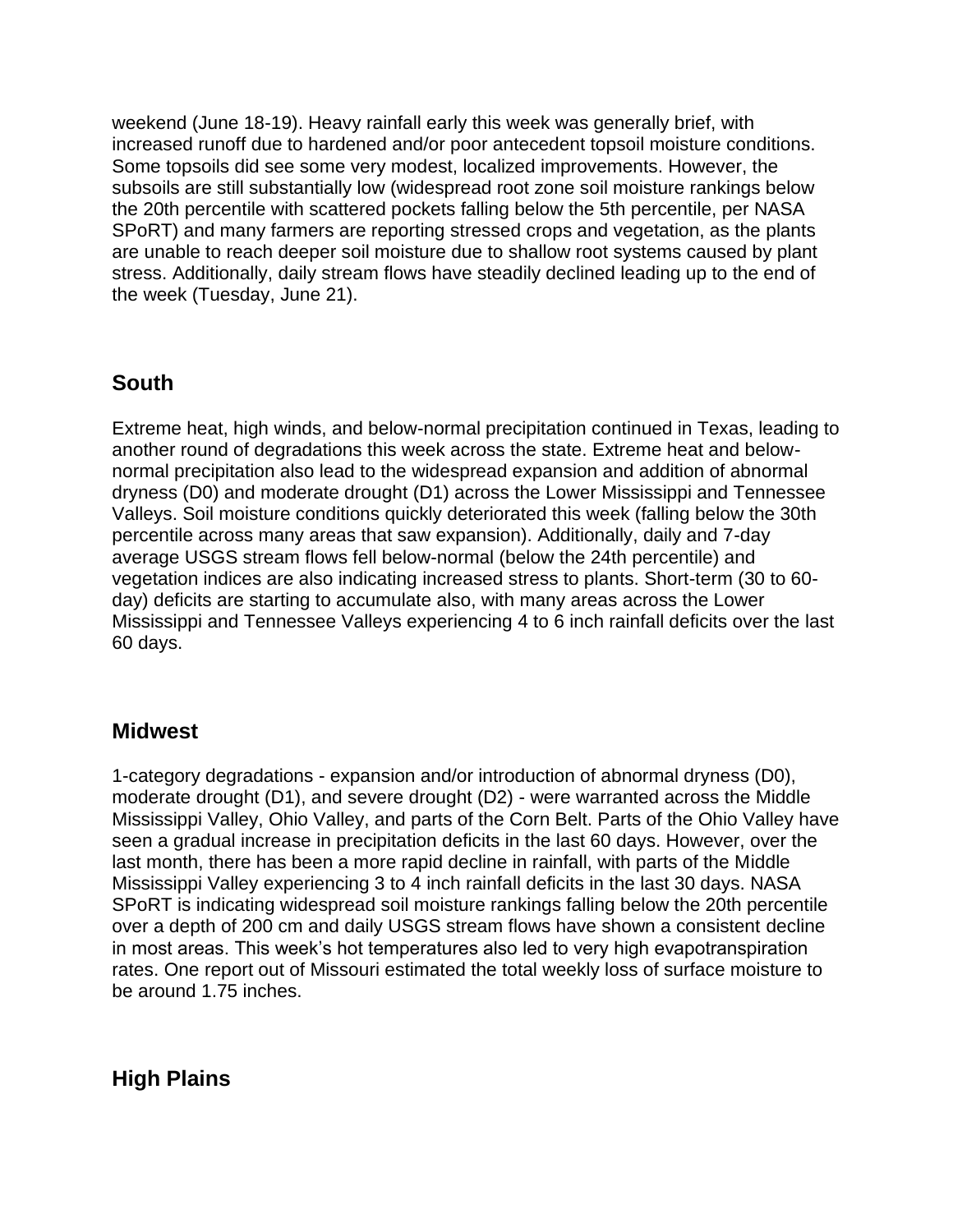weekend (June 18-19). Heavy rainfall early this week was generally brief, with increased runoff due to hardened and/or poor antecedent topsoil moisture conditions. Some topsoils did see some very modest, localized improvements. However, the subsoils are still substantially low (widespread root zone soil moisture rankings below the 20th percentile with scattered pockets falling below the 5th percentile, per NASA SPoRT) and many farmers are reporting stressed crops and vegetation, as the plants are unable to reach deeper soil moisture due to shallow root systems caused by plant stress. Additionally, daily stream flows have steadily declined leading up to the end of the week (Tuesday, June 21).

# **South**

Extreme heat, high winds, and below-normal precipitation continued in Texas, leading to another round of degradations this week across the state. Extreme heat and belownormal precipitation also lead to the widespread expansion and addition of abnormal dryness (D0) and moderate drought (D1) across the Lower Mississippi and Tennessee Valleys. Soil moisture conditions quickly deteriorated this week (falling below the 30th percentile across many areas that saw expansion). Additionally, daily and 7-day average USGS stream flows fell below-normal (below the 24th percentile) and vegetation indices are also indicating increased stress to plants. Short-term (30 to 60 day) deficits are starting to accumulate also, with many areas across the Lower Mississippi and Tennessee Valleys experiencing 4 to 6 inch rainfall deficits over the last 60 days.

#### **Midwest**

1-category degradations - expansion and/or introduction of abnormal dryness (D0), moderate drought (D1), and severe drought (D2) - were warranted across the Middle Mississippi Valley, Ohio Valley, and parts of the Corn Belt. Parts of the Ohio Valley have seen a gradual increase in precipitation deficits in the last 60 days. However, over the last month, there has been a more rapid decline in rainfall, with parts of the Middle Mississippi Valley experiencing 3 to 4 inch rainfall deficits in the last 30 days. NASA SPoRT is indicating widespread soil moisture rankings falling below the 20th percentile over a depth of 200 cm and daily USGS stream flows have shown a consistent decline in most areas. This week's hot temperatures also led to very high evapotranspiration rates. One report out of Missouri estimated the total weekly loss of surface moisture to be around 1.75 inches.

#### **High Plains**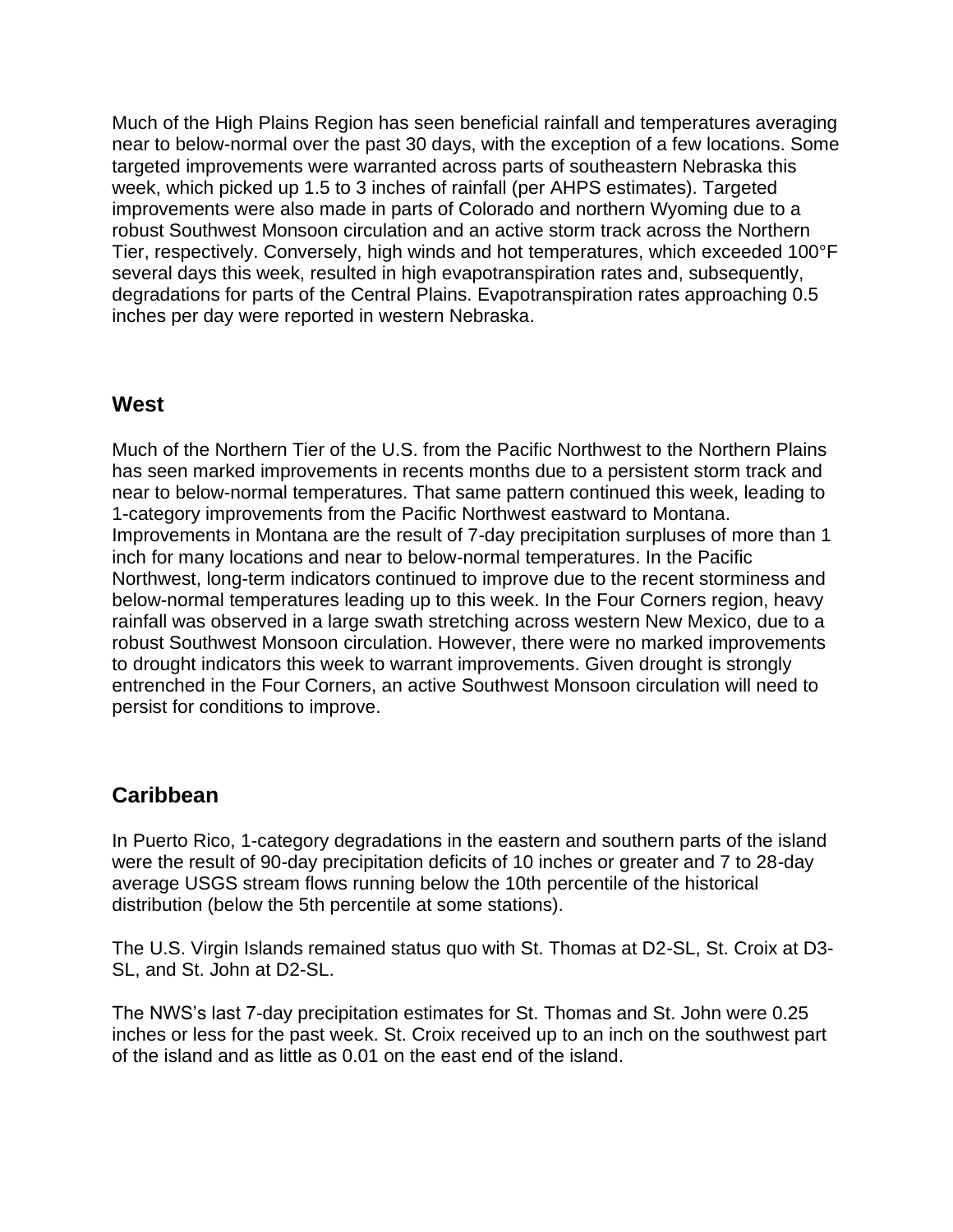Much of the High Plains Region has seen beneficial rainfall and temperatures averaging near to below-normal over the past 30 days, with the exception of a few locations. Some targeted improvements were warranted across parts of southeastern Nebraska this week, which picked up 1.5 to 3 inches of rainfall (per AHPS estimates). Targeted improvements were also made in parts of Colorado and northern Wyoming due to a robust Southwest Monsoon circulation and an active storm track across the Northern Tier, respectively. Conversely, high winds and hot temperatures, which exceeded 100°F several days this week, resulted in high evapotranspiration rates and, subsequently, degradations for parts of the Central Plains. Evapotranspiration rates approaching 0.5 inches per day were reported in western Nebraska.

#### **West**

Much of the Northern Tier of the U.S. from the Pacific Northwest to the Northern Plains has seen marked improvements in recents months due to a persistent storm track and near to below-normal temperatures. That same pattern continued this week, leading to 1-category improvements from the Pacific Northwest eastward to Montana. Improvements in Montana are the result of 7-day precipitation surpluses of more than 1 inch for many locations and near to below-normal temperatures. In the Pacific Northwest, long-term indicators continued to improve due to the recent storminess and below-normal temperatures leading up to this week. In the Four Corners region, heavy rainfall was observed in a large swath stretching across western New Mexico, due to a robust Southwest Monsoon circulation. However, there were no marked improvements to drought indicators this week to warrant improvements. Given drought is strongly entrenched in the Four Corners, an active Southwest Monsoon circulation will need to persist for conditions to improve.

# **Caribbean**

In Puerto Rico, 1-category degradations in the eastern and southern parts of the island were the result of 90-day precipitation deficits of 10 inches or greater and 7 to 28-day average USGS stream flows running below the 10th percentile of the historical distribution (below the 5th percentile at some stations).

The U.S. Virgin Islands remained status quo with St. Thomas at D2-SL, St. Croix at D3- SL, and St. John at D2-SL.

The NWS's last 7-day precipitation estimates for St. Thomas and St. John were 0.25 inches or less for the past week. St. Croix received up to an inch on the southwest part of the island and as little as 0.01 on the east end of the island.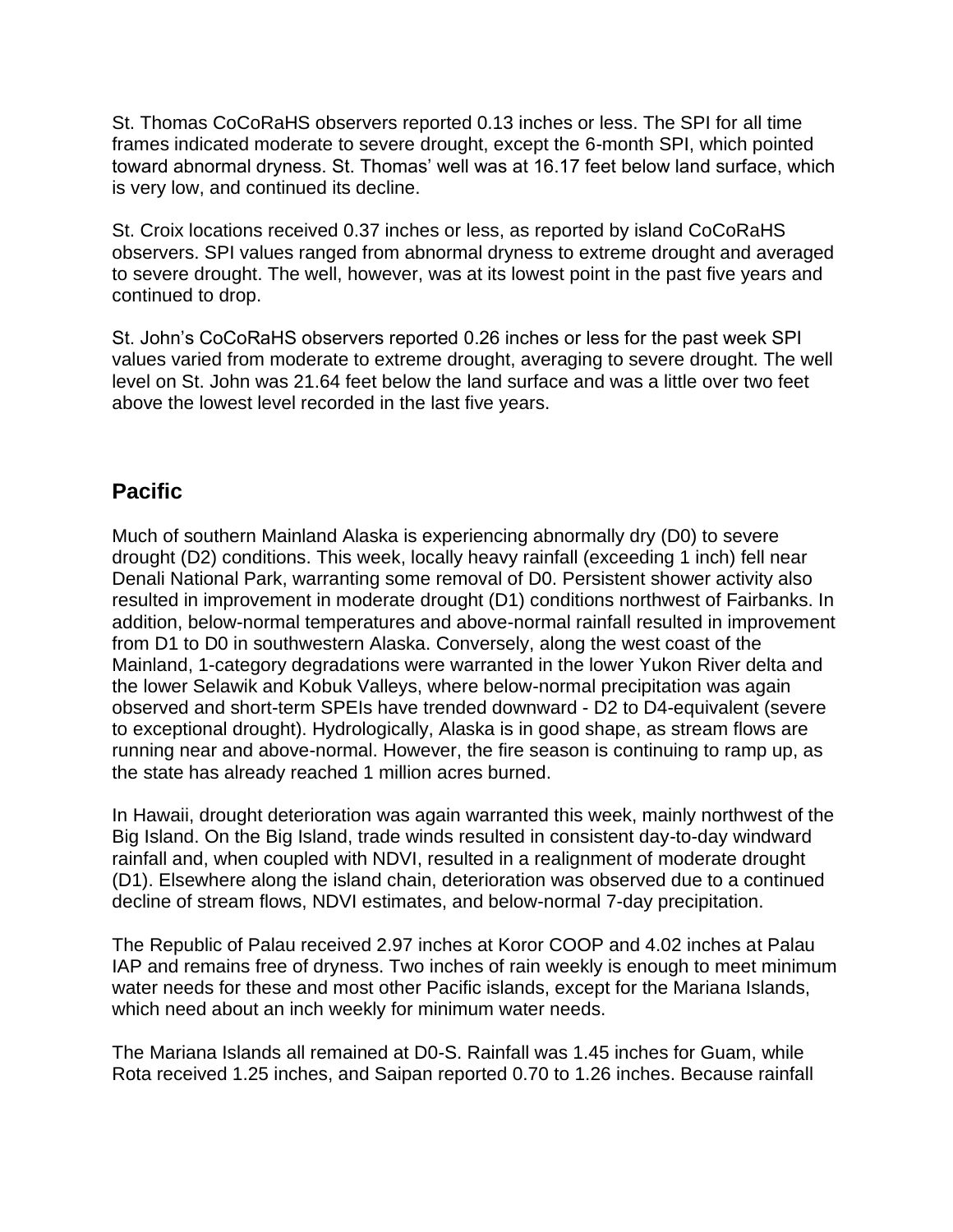St. Thomas CoCoRaHS observers reported 0.13 inches or less. The SPI for all time frames indicated moderate to severe drought, except the 6-month SPI, which pointed toward abnormal dryness. St. Thomas' well was at 16.17 feet below land surface, which is very low, and continued its decline.

St. Croix locations received 0.37 inches or less, as reported by island CoCoRaHS observers. SPI values ranged from abnormal dryness to extreme drought and averaged to severe drought. The well, however, was at its lowest point in the past five years and continued to drop.

St. John's CoCoRaHS observers reported 0.26 inches or less for the past week SPI values varied from moderate to extreme drought, averaging to severe drought. The well level on St. John was 21.64 feet below the land surface and was a little over two feet above the lowest level recorded in the last five years.

# **Pacific**

Much of southern Mainland Alaska is experiencing abnormally dry (D0) to severe drought (D2) conditions. This week, locally heavy rainfall (exceeding 1 inch) fell near Denali National Park, warranting some removal of D0. Persistent shower activity also resulted in improvement in moderate drought (D1) conditions northwest of Fairbanks. In addition, below-normal temperatures and above-normal rainfall resulted in improvement from D1 to D0 in southwestern Alaska. Conversely, along the west coast of the Mainland, 1-category degradations were warranted in the lower Yukon River delta and the lower Selawik and Kobuk Valleys, where below-normal precipitation was again observed and short-term SPEIs have trended downward - D2 to D4-equivalent (severe to exceptional drought). Hydrologically, Alaska is in good shape, as stream flows are running near and above-normal. However, the fire season is continuing to ramp up, as the state has already reached 1 million acres burned.

In Hawaii, drought deterioration was again warranted this week, mainly northwest of the Big Island. On the Big Island, trade winds resulted in consistent day-to-day windward rainfall and, when coupled with NDVI, resulted in a realignment of moderate drought (D1). Elsewhere along the island chain, deterioration was observed due to a continued decline of stream flows, NDVI estimates, and below-normal 7-day precipitation.

The Republic of Palau received 2.97 inches at Koror COOP and 4.02 inches at Palau IAP and remains free of dryness. Two inches of rain weekly is enough to meet minimum water needs for these and most other Pacific islands, except for the Mariana Islands, which need about an inch weekly for minimum water needs.

The Mariana Islands all remained at D0-S. Rainfall was 1.45 inches for Guam, while Rota received 1.25 inches, and Saipan reported 0.70 to 1.26 inches. Because rainfall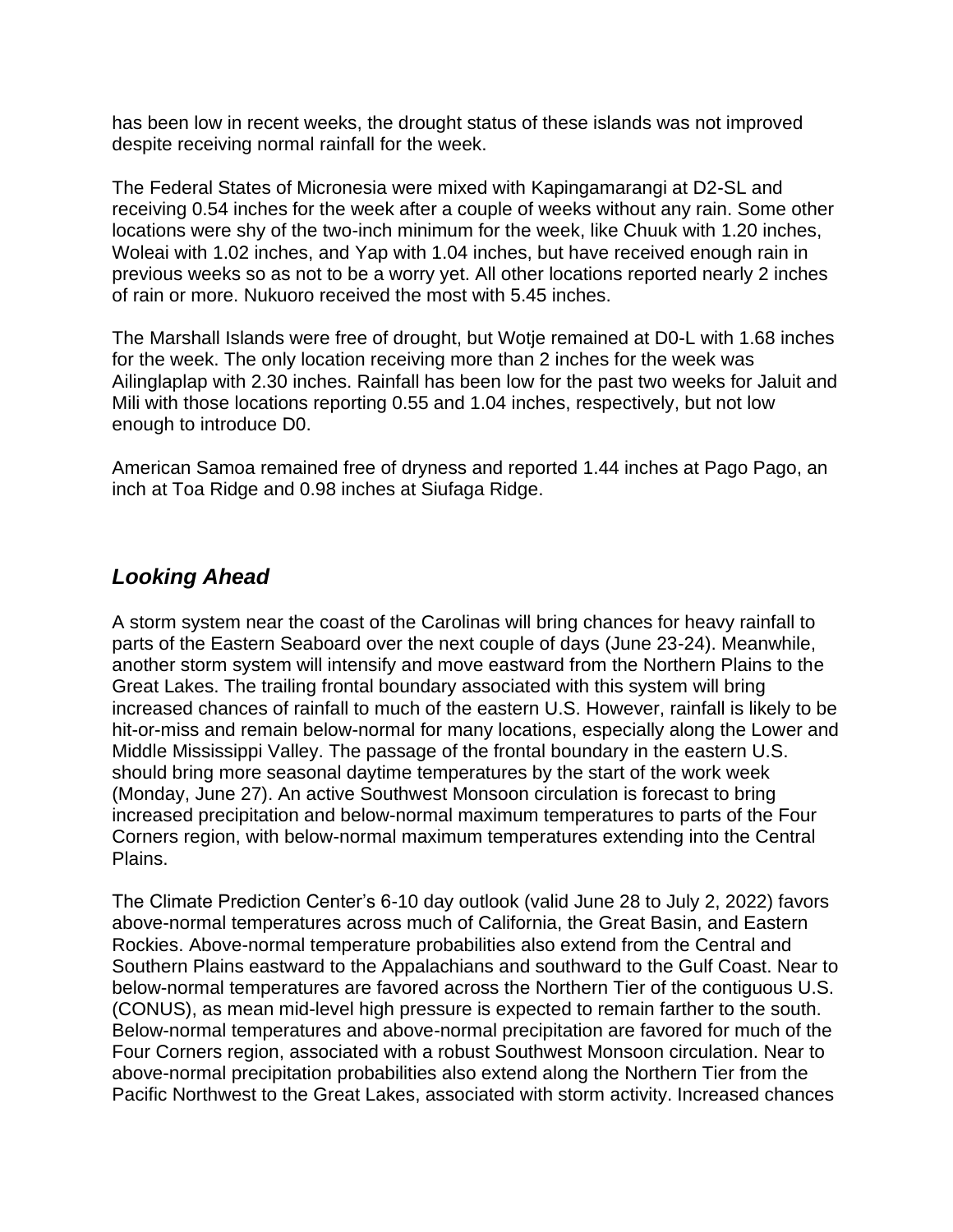has been low in recent weeks, the drought status of these islands was not improved despite receiving normal rainfall for the week.

The Federal States of Micronesia were mixed with Kapingamarangi at D2-SL and receiving 0.54 inches for the week after a couple of weeks without any rain. Some other locations were shy of the two-inch minimum for the week, like Chuuk with 1.20 inches, Woleai with 1.02 inches, and Yap with 1.04 inches, but have received enough rain in previous weeks so as not to be a worry yet. All other locations reported nearly 2 inches of rain or more. Nukuoro received the most with 5.45 inches.

The Marshall Islands were free of drought, but Wotje remained at D0-L with 1.68 inches for the week. The only location receiving more than 2 inches for the week was Ailinglaplap with 2.30 inches. Rainfall has been low for the past two weeks for Jaluit and Mili with those locations reporting 0.55 and 1.04 inches, respectively, but not low enough to introduce D0.

American Samoa remained free of dryness and reported 1.44 inches at Pago Pago, an inch at Toa Ridge and 0.98 inches at Siufaga Ridge.

#### *Looking Ahead*

A storm system near the coast of the Carolinas will bring chances for heavy rainfall to parts of the Eastern Seaboard over the next couple of days (June 23-24). Meanwhile, another storm system will intensify and move eastward from the Northern Plains to the Great Lakes. The trailing frontal boundary associated with this system will bring increased chances of rainfall to much of the eastern U.S. However, rainfall is likely to be hit-or-miss and remain below-normal for many locations, especially along the Lower and Middle Mississippi Valley. The passage of the frontal boundary in the eastern U.S. should bring more seasonal daytime temperatures by the start of the work week (Monday, June 27). An active Southwest Monsoon circulation is forecast to bring increased precipitation and below-normal maximum temperatures to parts of the Four Corners region, with below-normal maximum temperatures extending into the Central Plains.

The Climate Prediction Center's 6-10 day outlook (valid June 28 to July 2, 2022) favors above-normal temperatures across much of California, the Great Basin, and Eastern Rockies. Above-normal temperature probabilities also extend from the Central and Southern Plains eastward to the Appalachians and southward to the Gulf Coast. Near to below-normal temperatures are favored across the Northern Tier of the contiguous U.S. (CONUS), as mean mid-level high pressure is expected to remain farther to the south. Below-normal temperatures and above-normal precipitation are favored for much of the Four Corners region, associated with a robust Southwest Monsoon circulation. Near to above-normal precipitation probabilities also extend along the Northern Tier from the Pacific Northwest to the Great Lakes, associated with storm activity. Increased chances